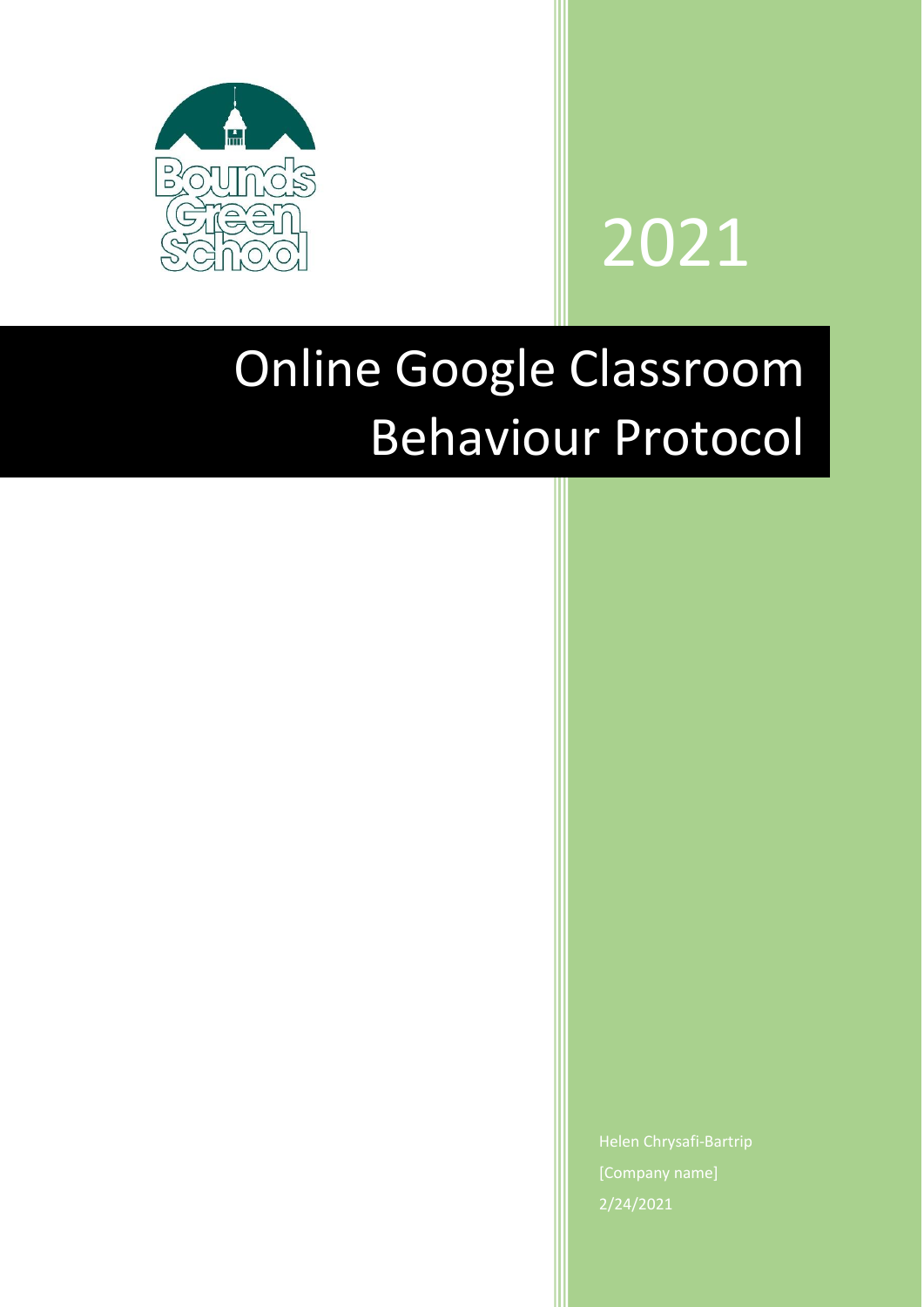



## Online Google Classroom Behaviour Protocol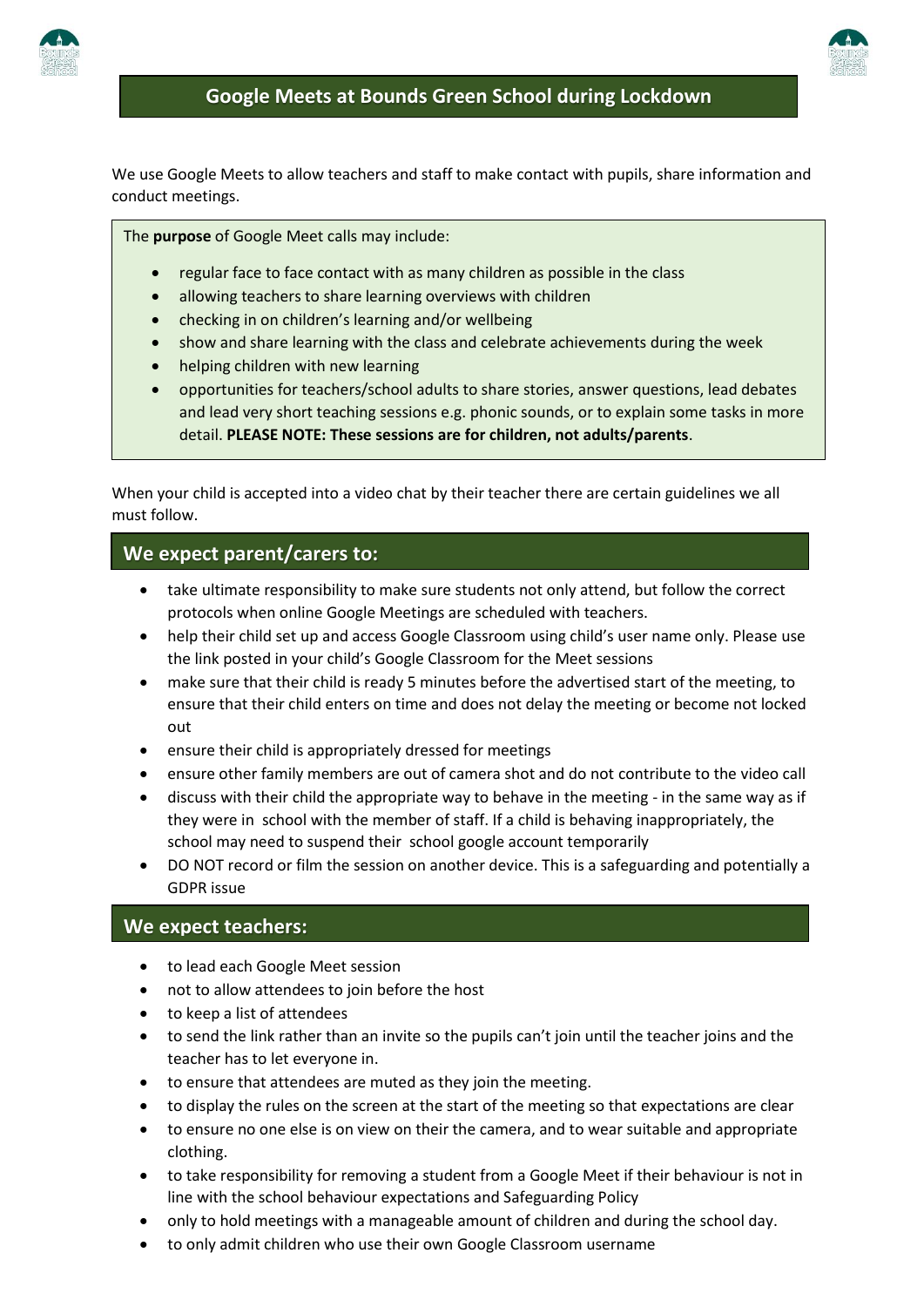



We use Google Meets to allow teachers and staff to make contact with pupils, share information and conduct meetings.

#### The **purpose** of Google Meet calls may include:

- regular face to face contact with as many children as possible in the class
- allowing teachers to share learning overviews with children
- checking in on children's learning and/or wellbeing
- show and share learning with the class and celebrate achievements during the week
- helping children with new learning
- opportunities for teachers/school adults to share stories, answer questions, lead debates and lead very short teaching sessions e.g. phonic sounds, or to explain some tasks in more detail. **PLEASE NOTE: These sessions are for children, not adults/parents**.

When your child is accepted into a video chat by their teacher there are certain guidelines we all must follow.

#### **We expect parent/carers to:**

l

- take ultimate responsibility to make sure students not only attend, but follow the correct protocols when online Google Meetings are scheduled with teachers.
- help their child set up and access Google Classroom using child's user name only. Please use the link posted in your child's Google Classroom for the Meet sessions
- make sure that their child is ready 5 minutes before the advertised start of the meeting, to ensure that their child enters on time and does not delay the meeting or become not locked out
- ensure their child is appropriately dressed for meetings
- ensure other family members are out of camera shot and do not contribute to the video call
- discuss with their child the appropriate way to behave in the meeting in the same way as if they were in school with the member of staff. If a child is behaving inappropriately, the school may need to suspend their school google account temporarily
- DO NOT record or film the session on another device. This is a safeguarding and potentially a GDPR issue

#### **We expect teachers:**

- to lead each Google Meet session
- not to allow attendees to join before the host
- to keep a list of attendees
- to send the link rather than an invite so the pupils can't join until the teacher joins and the teacher has to let everyone in.
- to ensure that attendees are muted as they join the meeting.
- to display the rules on the screen at the start of the meeting so that expectations are clear
- to ensure no one else is on view on their the camera, and to wear suitable and appropriate clothing.
- to take responsibility for removing a student from a Google Meet if their behaviour is not in line with the school behaviour expectations and Safeguarding Policy
- only to hold meetings with a manageable amount of children and during the school day.
- to only admit children who use their own Google Classroom username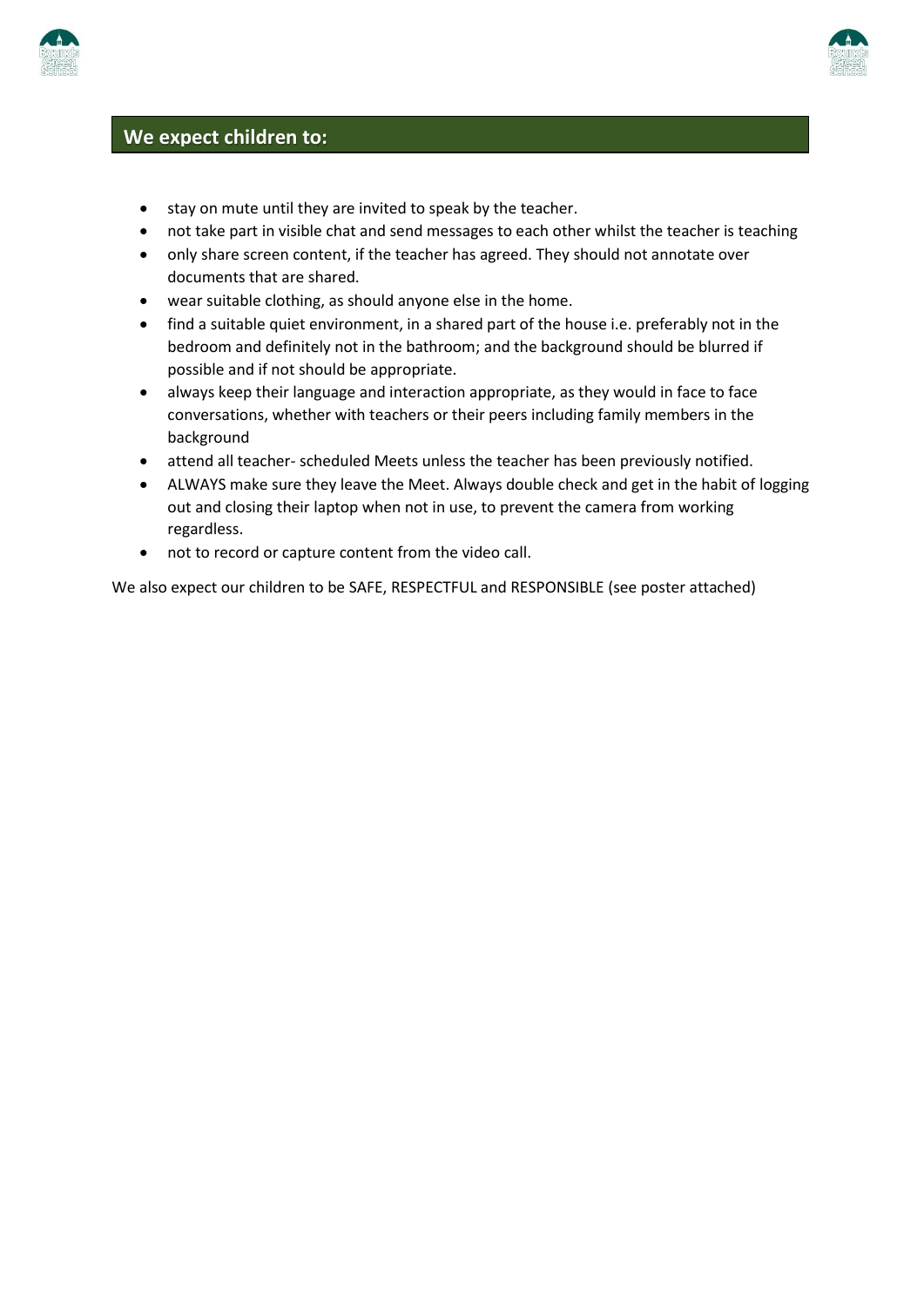



### **We expect children to:**

- stay on mute until they are invited to speak by the teacher.
- not take part in visible chat and send messages to each other whilst the teacher is teaching
- only share screen content, if the teacher has agreed. They should not annotate over documents that are shared.
- wear suitable clothing, as should anyone else in the home.
- find a suitable quiet environment, in a shared part of the house i.e. preferably not in the bedroom and definitely not in the bathroom; and the background should be blurred if possible and if not should be appropriate.
- always keep their language and interaction appropriate, as they would in face to face conversations, whether with teachers or their peers including family members in the background
- attend all teacher- scheduled Meets unless the teacher has been previously notified.
- ALWAYS make sure they leave the Meet. Always double check and get in the habit of logging out and closing their laptop when not in use, to prevent the camera from working regardless.
- not to record or capture content from the video call.

We also expect our children to be SAFE, RESPECTFUL and RESPONSIBLE (see poster attached)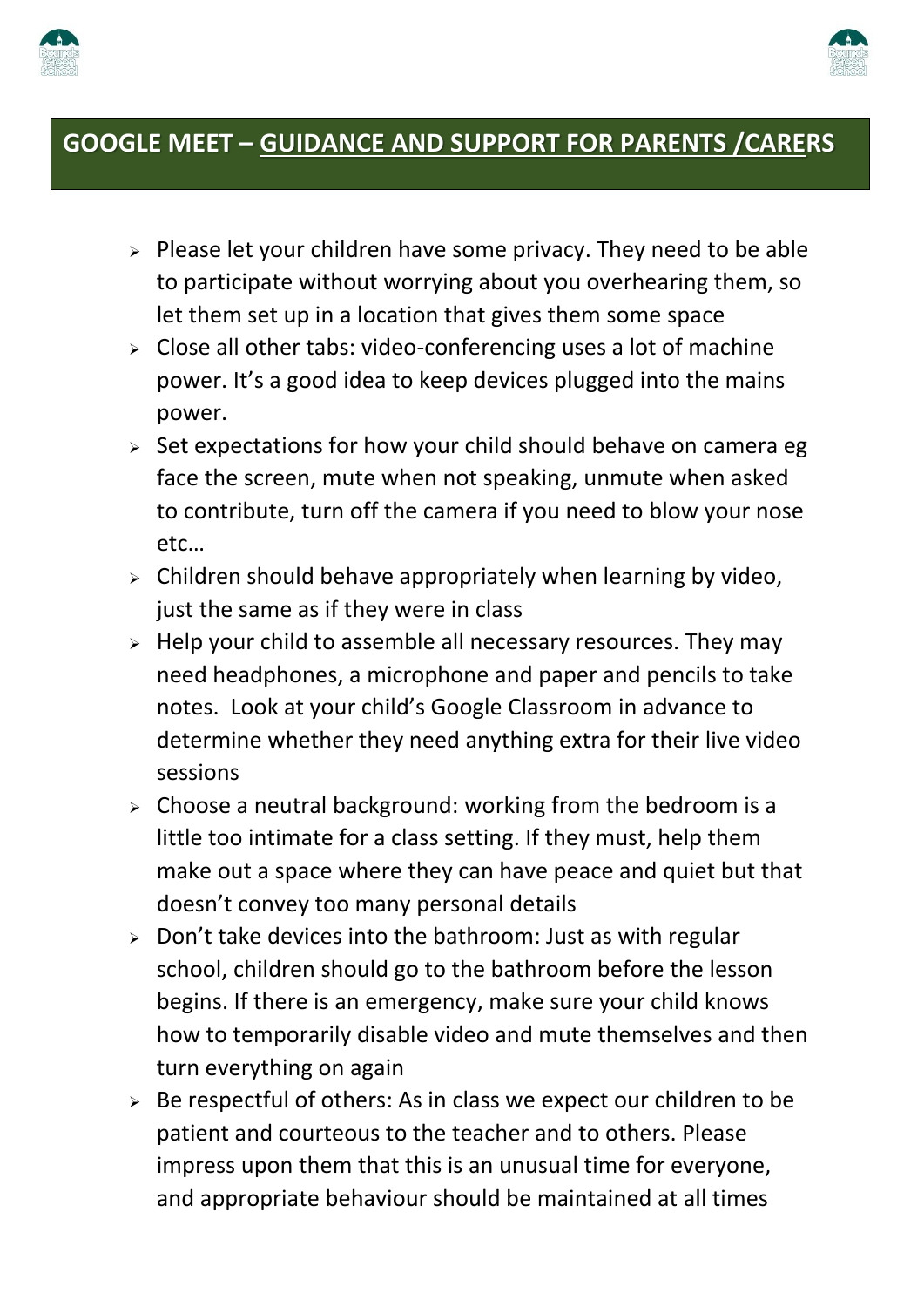



### **GOOGLE MEET – GUIDANCE AND SUPPORT FOR PARENTS /CARERS**

- $\triangleright$  Please let your children have some privacy. They need to be able to participate without worrying about you overhearing them, so let them set up in a location that gives them some space
- $\triangleright$  Close all other tabs: video-conferencing uses a lot of machine power. It's a good idea to keep devices plugged into the mains power.
- $\ge$  Set expectations for how your child should behave on camera eg face the screen, mute when not speaking, unmute when asked to contribute, turn off the camera if you need to blow your nose etc…
- $\triangleright$  Children should behave appropriately when learning by video, just the same as if they were in class
- $\triangleright$  Help your child to assemble all necessary resources. They may need headphones, a microphone and paper and pencils to take notes. Look at your child's Google Classroom in advance to determine whether they need anything extra for their live video sessions
- $\triangleright$  Choose a neutral background: working from the bedroom is a little too intimate for a class setting. If they must, help them make out a space where they can have peace and quiet but that doesn't convey too many personal details
- $\ge$  Don't take devices into the bathroom: Just as with regular school, children should go to the bathroom before the lesson begins. If there is an emergency, make sure your child knows how to temporarily disable video and mute themselves and then turn everything on again
- $\geq$  Be respectful of others: As in class we expect our children to be patient and courteous to the teacher and to others. Please impress upon them that this is an unusual time for everyone, and appropriate behaviour should be maintained at all times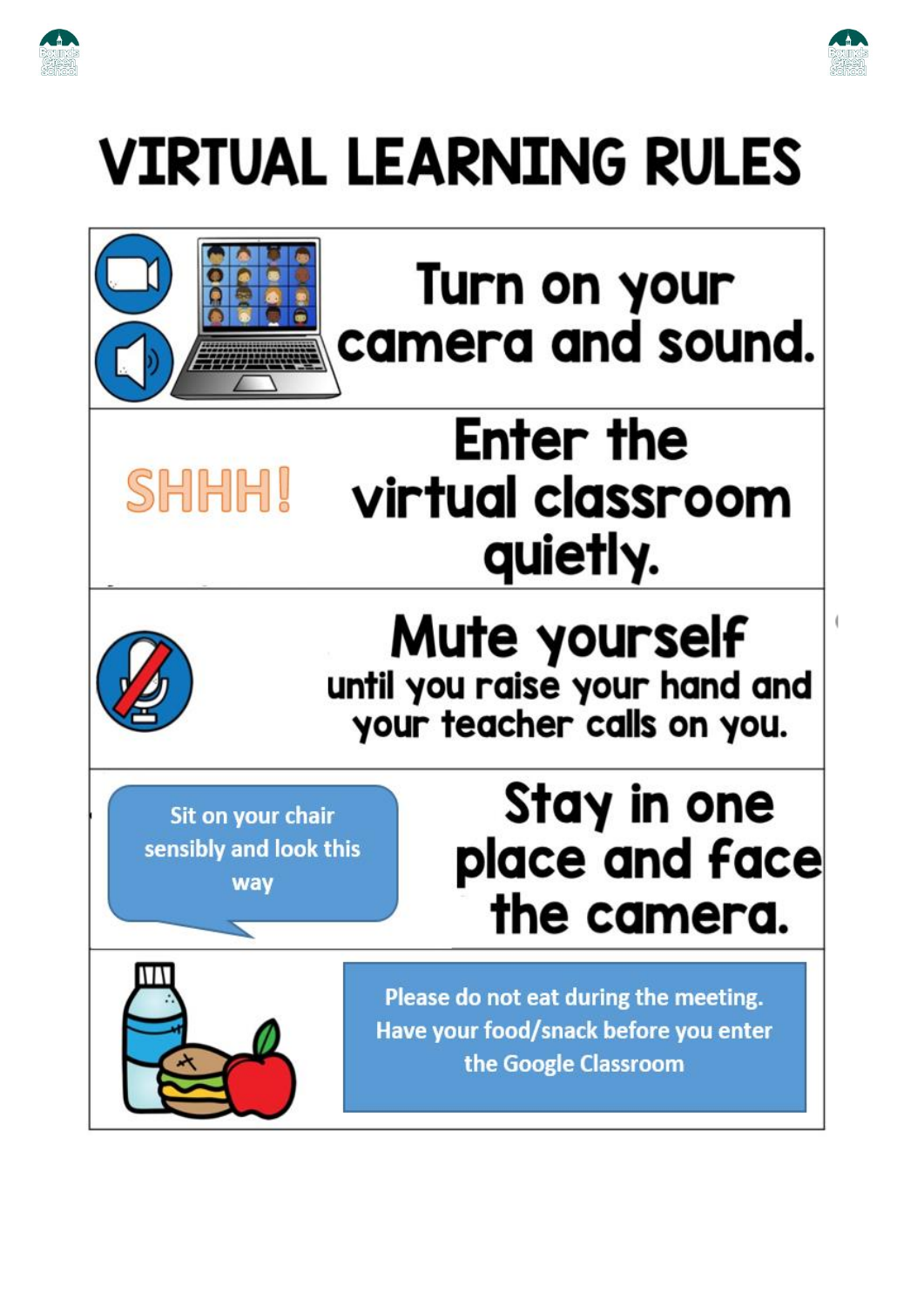



# **VIRTUAL LEARNING RULES**



SHHHI

## Turn on your camera and sound.

## Enter the virtual classroom quietly.



## **Mute yourself** until you raise your hand and your teacher calls on you.

Sit on your chair sensibly and look this way

## Stay in one place and face the camera.



Please do not eat during the meeting. Have your food/snack before you enter the Google Classroom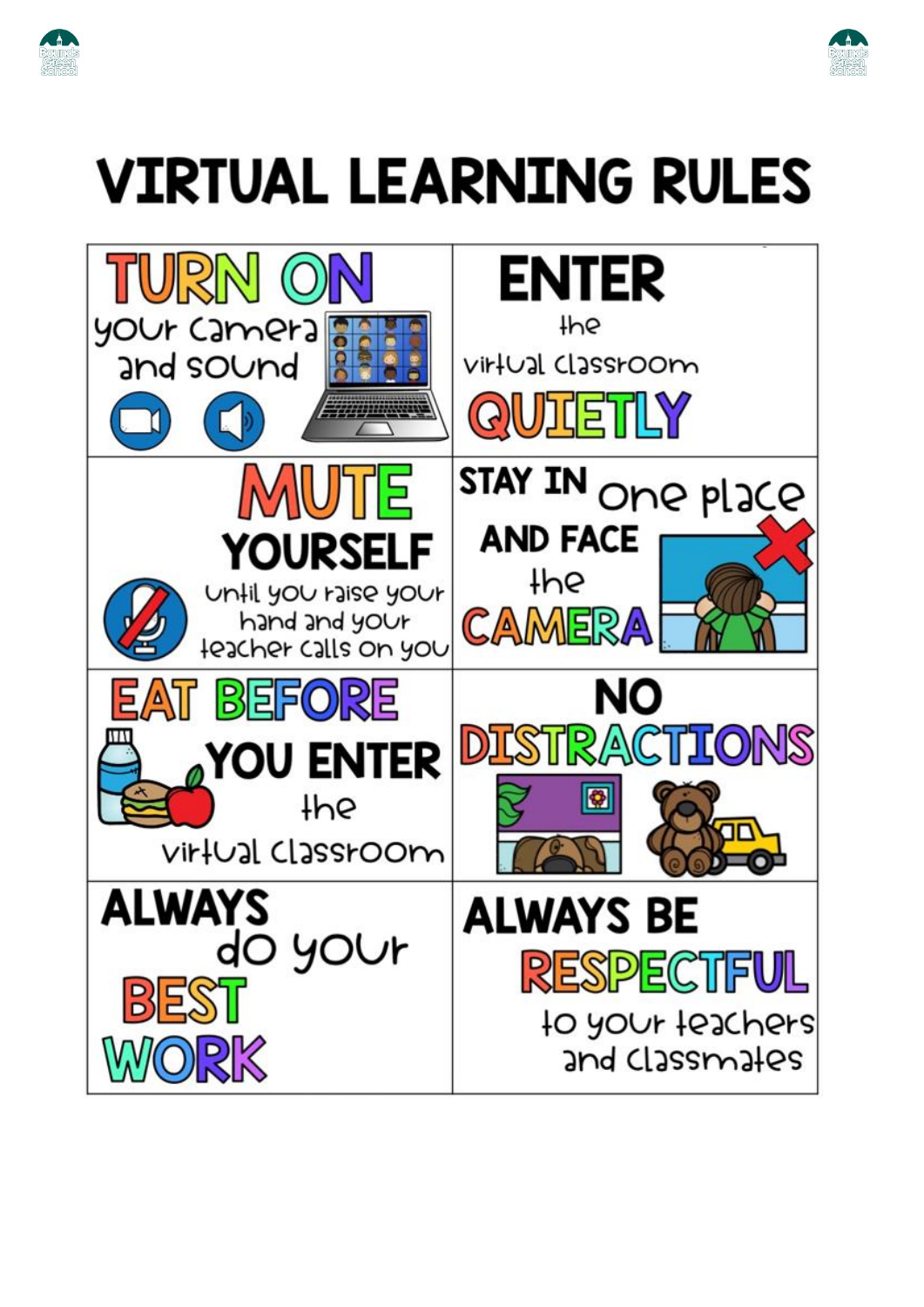



## **VIRTUAL LEARNING RULES**